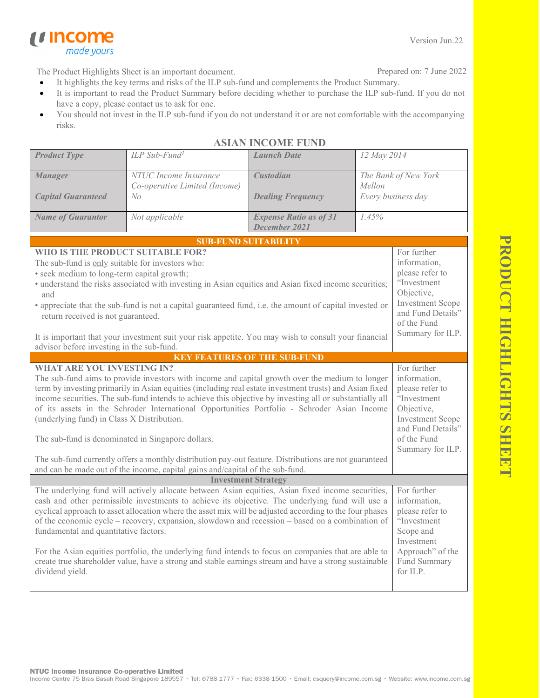**PRODUCT HIGHLIGHTS SHE PRODUCT HIGHLIGHTS SHEET**

Prepared on: 7 June 2022

The Product Highlights Sheet is an important document.

made yours

*u* income

- It highlights the key terms and risks of the ILP sub-fund and complements the Product Summary.
- It is important to read the Product Summary before deciding whether to purchase the ILP sub-fund. If you do not have a copy, please contact us to ask for one.
- You should not invest in the ILP sub-fund if you do not understand it or are not comfortable with the accompanying risks.

| <b>Product Type</b>                                                                                                                                                                                                                                                                                                                                                                                                                                                                                                                                                                                                                                                                                                                                     | ILP Sub-Fund <sup>1</sup>                                                                                                                                                                                                                                                                                                | <b>Launch Date</b>                             | 12 May 2014                    |                                                                                                                                                                |  |
|---------------------------------------------------------------------------------------------------------------------------------------------------------------------------------------------------------------------------------------------------------------------------------------------------------------------------------------------------------------------------------------------------------------------------------------------------------------------------------------------------------------------------------------------------------------------------------------------------------------------------------------------------------------------------------------------------------------------------------------------------------|--------------------------------------------------------------------------------------------------------------------------------------------------------------------------------------------------------------------------------------------------------------------------------------------------------------------------|------------------------------------------------|--------------------------------|----------------------------------------------------------------------------------------------------------------------------------------------------------------|--|
| <b>Manager</b>                                                                                                                                                                                                                                                                                                                                                                                                                                                                                                                                                                                                                                                                                                                                          | <b>NTUC</b> Income Insurance<br>Co-operative Limited (Income)                                                                                                                                                                                                                                                            | <b>Custodian</b>                               | The Bank of New York<br>Mellon |                                                                                                                                                                |  |
| <b>Capital Guaranteed</b>                                                                                                                                                                                                                                                                                                                                                                                                                                                                                                                                                                                                                                                                                                                               | No                                                                                                                                                                                                                                                                                                                       | <b>Dealing Frequency</b>                       | Every business day             |                                                                                                                                                                |  |
| <b>Name of Guarantor</b>                                                                                                                                                                                                                                                                                                                                                                                                                                                                                                                                                                                                                                                                                                                                | Not applicable                                                                                                                                                                                                                                                                                                           | <b>Expense Ratio as of 31</b><br>December 2021 | 1.45%                          |                                                                                                                                                                |  |
|                                                                                                                                                                                                                                                                                                                                                                                                                                                                                                                                                                                                                                                                                                                                                         |                                                                                                                                                                                                                                                                                                                          | <b>SUB-FUND SUITABILITY</b>                    |                                |                                                                                                                                                                |  |
| WHO IS THE PRODUCT SUITABLE FOR?<br>The sub-fund is only suitable for investors who:<br>· seek medium to long-term capital growth;<br>and<br>return received is not guaranteed.<br>advisor before investing in the sub-fund.                                                                                                                                                                                                                                                                                                                                                                                                                                                                                                                            | · understand the risks associated with investing in Asian equities and Asian fixed income securities;<br>• appreciate that the sub-fund is not a capital guaranteed fund, i.e. the amount of capital invested or<br>It is important that your investment suit your risk appetite. You may wish to consult your financial |                                                |                                | For further<br>information,<br>please refer to<br>"Investment<br>Objective,<br><b>Investment Scope</b><br>and Fund Details"<br>of the Fund<br>Summary for ILP. |  |
|                                                                                                                                                                                                                                                                                                                                                                                                                                                                                                                                                                                                                                                                                                                                                         |                                                                                                                                                                                                                                                                                                                          | <b>KEY FEATURES OF THE SUB-FUND</b>            |                                |                                                                                                                                                                |  |
| <b>WHAT ARE YOU INVESTING IN?</b><br>The sub-fund aims to provide investors with income and capital growth over the medium to longer<br>term by investing primarily in Asian equities (including real estate investment trusts) and Asian fixed<br>income securities. The sub-fund intends to achieve this objective by investing all or substantially all<br>of its assets in the Schroder International Opportunities Portfolio - Schroder Asian Income<br>(underlying fund) in Class X Distribution.<br>The sub-fund is denominated in Singapore dollars.<br>The sub-fund currently offers a monthly distribution pay-out feature. Distributions are not guaranteed<br>and can be made out of the income, capital gains and/capital of the sub-fund. |                                                                                                                                                                                                                                                                                                                          |                                                |                                | For further<br>information,<br>please refer to<br>"Investment<br>Objective,<br><b>Investment Scope</b><br>and Fund Details"<br>of the Fund<br>Summary for ILP. |  |
| <b>Investment Strategy</b>                                                                                                                                                                                                                                                                                                                                                                                                                                                                                                                                                                                                                                                                                                                              |                                                                                                                                                                                                                                                                                                                          |                                                |                                |                                                                                                                                                                |  |
| The underlying fund will actively allocate between Asian equities, Asian fixed income securities,<br>cash and other permissible investments to achieve its objective. The underlying fund will use a<br>cyclical approach to asset allocation where the asset mix will be adjusted according to the four phases<br>of the economic cycle – recovery, expansion, slowdown and recession – based on a combination of<br>fundamental and quantitative factors.<br>For the Asian equities portfolio, the underlying fund intends to focus on companies that are able to<br>create true shareholder value, have a strong and stable earnings stream and have a strong sustainable<br>dividend yield.                                                         |                                                                                                                                                                                                                                                                                                                          |                                                |                                | For further<br>information,<br>please refer to<br>"Investment<br>Scope and<br>Investment<br>Approach" of the<br>Fund Summary<br>for ILP.                       |  |

## **ASIAN INCOME FUND**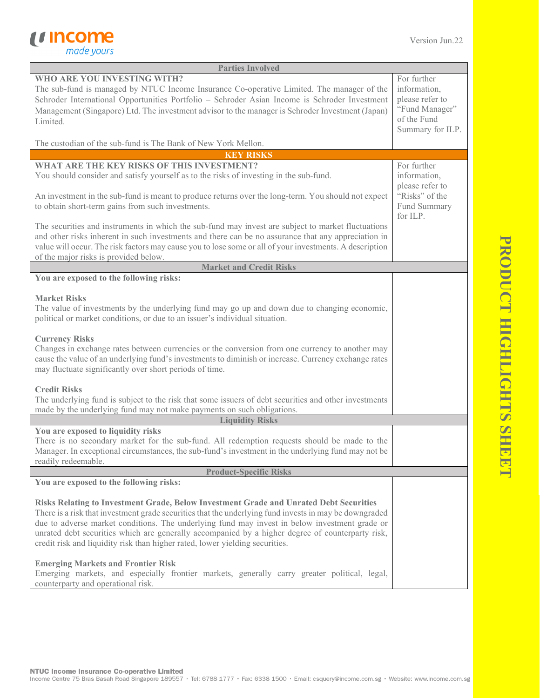

| <b>Parties Involved</b>                                                                                 |                  |
|---------------------------------------------------------------------------------------------------------|------------------|
| WHO ARE YOU INVESTING WITH?                                                                             | For further      |
| The sub-fund is managed by NTUC Income Insurance Co-operative Limited. The manager of the               | information,     |
| Schroder International Opportunities Portfolio - Schroder Asian Income is Schroder Investment           | please refer to  |
| Management (Singapore) Ltd. The investment advisor to the manager is Schroder Investment (Japan)        | "Fund Manager"   |
| Limited.                                                                                                | of the Fund      |
|                                                                                                         | Summary for ILP. |
|                                                                                                         |                  |
| The custodian of the sub-fund is The Bank of New York Mellon.                                           |                  |
| <b>KEY RISKS</b>                                                                                        |                  |
| WHAT ARE THE KEY RISKS OF THIS INVESTMENT?                                                              | For further      |
| You should consider and satisfy yourself as to the risks of investing in the sub-fund.                  | information,     |
|                                                                                                         | please refer to  |
| An investment in the sub-fund is meant to produce returns over the long-term. You should not expect     | "Risks" of the   |
|                                                                                                         |                  |
| to obtain short-term gains from such investments.                                                       | Fund Summary     |
|                                                                                                         | for ILP.         |
| The securities and instruments in which the sub-fund may invest are subject to market fluctuations      |                  |
| and other risks inherent in such investments and there can be no assurance that any appreciation in     |                  |
| value will occur. The risk factors may cause you to lose some or all of your investments. A description |                  |
| of the major risks is provided below.                                                                   |                  |
| <b>Market and Credit Risks</b>                                                                          |                  |
| You are exposed to the following risks:                                                                 |                  |
|                                                                                                         |                  |
| <b>Market Risks</b>                                                                                     |                  |
| The value of investments by the underlying fund may go up and down due to changing economic,            |                  |
| political or market conditions, or due to an issuer's individual situation.                             |                  |
|                                                                                                         |                  |
|                                                                                                         |                  |
| <b>Currency Risks</b>                                                                                   |                  |
| Changes in exchange rates between currencies or the conversion from one currency to another may         |                  |
| cause the value of an underlying fund's investments to diminish or increase. Currency exchange rates    |                  |
| may fluctuate significantly over short periods of time.                                                 |                  |
|                                                                                                         |                  |
| <b>Credit Risks</b>                                                                                     |                  |
| The underlying fund is subject to the risk that some issuers of debt securities and other investments   |                  |
| made by the underlying fund may not make payments on such obligations.                                  |                  |
| <b>Liquidity Risks</b>                                                                                  |                  |
| You are exposed to liquidity risks                                                                      |                  |
| There is no secondary market for the sub-fund. All redemption requests should be made to the            |                  |
| Manager. In exceptional circumstances, the sub-fund's investment in the underlying fund may not be      |                  |
|                                                                                                         |                  |
| readily redeemable.                                                                                     |                  |
| <b>Product-Specific Risks</b>                                                                           |                  |
| You are exposed to the following risks:                                                                 |                  |
|                                                                                                         |                  |
| Risks Relating to Investment Grade, Below Investment Grade and Unrated Debt Securities                  |                  |
| There is a risk that investment grade securities that the underlying fund invests in may be downgraded  |                  |
| due to adverse market conditions. The underlying fund may invest in below investment grade or           |                  |
| unrated debt securities which are generally accompanied by a higher degree of counterparty risk,        |                  |
| credit risk and liquidity risk than higher rated, lower yielding securities.                            |                  |
|                                                                                                         |                  |
| <b>Emerging Markets and Frontier Risk</b>                                                               |                  |
| Emerging markets, and especially frontier markets, generally carry greater political, legal,            |                  |
| counterparty and operational risk.                                                                      |                  |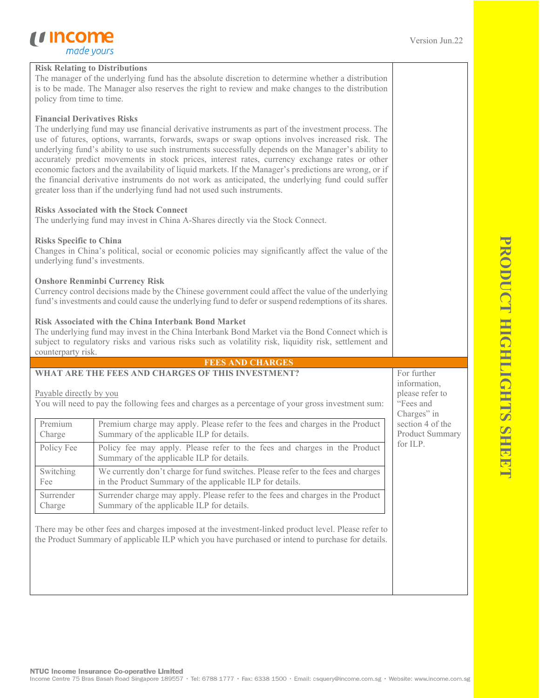For further information, please refer to

### **Risk Relating to Distributions**

The manager of the underlying fund has the absolute discretion to determine whether a distribution is to be made. The Manager also reserves the right to review and make changes to the distribution policy from time to time.

#### **Financial Derivatives Risks**

The underlying fund may use financial derivative instruments as part of the investment process. The use of futures, options, warrants, forwards, swaps or swap options involves increased risk. The underlying fund's ability to use such instruments successfully depends on the Manager's ability to accurately predict movements in stock prices, interest rates, currency exchange rates or other economic factors and the availability of liquid markets. If the Manager's predictions are wrong, or if the financial derivative instruments do not work as anticipated, the underlying fund could suffer greater loss than if the underlying fund had not used such instruments.

#### **Risks Associated with the Stock Connect**

The underlying fund may invest in China A-Shares directly via the Stock Connect.

**Risks Specific to China**

Changes in China's political, social or economic policies may significantly affect the value of the underlying fund's investments.

#### **Onshore Renminbi Currency Risk**

Currency control decisions made by the Chinese government could affect the value of the underlying fund's investments and could cause the underlying fund to defer or suspend redemptions of its shares.

#### **Risk Associated with the China Interbank Bond Market**

The underlying fund may invest in the China Interbank Bond Market via the Bond Connect which is subject to regulatory risks and various risks such as volatility risk, liquidity risk, settlement and counterparty risk.

# **FEES AND CHARGES**

### **WHAT ARE THE FEES AND CHARGES OF THIS INVESTMENT?**

Payable directly by you

|                     | You will need to pay the following fees and charges as a percentage of your gross investment sum:                                              | "Fees and<br>Charges" in                   |
|---------------------|------------------------------------------------------------------------------------------------------------------------------------------------|--------------------------------------------|
| Premium<br>Charge   | Premium charge may apply. Please refer to the fees and charges in the Product<br>Summary of the applicable ILP for details.                    | section 4 of the<br><b>Product Summary</b> |
| Policy Fee          | Policy fee may apply. Please refer to the fees and charges in the Product<br>Summary of the applicable ILP for details.                        | for ILP.                                   |
| Switching<br>Fee    | We currently don't charge for fund switches. Please refer to the fees and charges<br>in the Product Summary of the applicable ILP for details. |                                            |
| Surrender<br>Charge | Surrender charge may apply. Please refer to the fees and charges in the Product<br>Summary of the applicable ILP for details.                  |                                            |

There may be other fees and charges imposed at the investment-linked product level. Please refer to the Product Summary of applicable ILP which you have purchased or intend to purchase for details.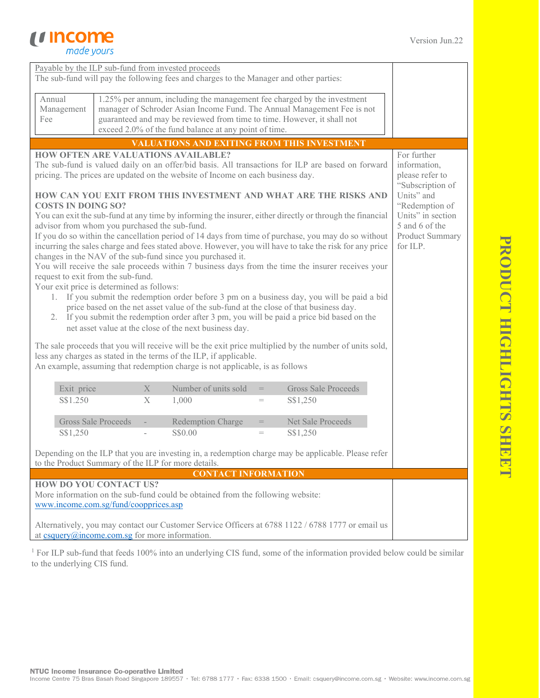

| Payable by the ILP sub-fund from invested proceeds                                                                                                    |                                                |                                                                         |   |                                                                                       |              |                                                                                                          |                   |
|-------------------------------------------------------------------------------------------------------------------------------------------------------|------------------------------------------------|-------------------------------------------------------------------------|---|---------------------------------------------------------------------------------------|--------------|----------------------------------------------------------------------------------------------------------|-------------------|
| The sub-fund will pay the following fees and charges to the Manager and other parties:                                                                |                                                |                                                                         |   |                                                                                       |              |                                                                                                          |                   |
|                                                                                                                                                       |                                                |                                                                         |   |                                                                                       |              |                                                                                                          |                   |
| Annual                                                                                                                                                |                                                |                                                                         |   |                                                                                       |              | 1.25% per annum, including the management fee charged by the investment                                  |                   |
| Management                                                                                                                                            |                                                | manager of Schroder Asian Income Fund. The Annual Management Fee is not |   |                                                                                       |              |                                                                                                          |                   |
| Fee                                                                                                                                                   |                                                |                                                                         |   | guaranteed and may be reviewed from time to time. However, it shall not               |              |                                                                                                          |                   |
|                                                                                                                                                       |                                                |                                                                         |   | exceed 2.0% of the fund balance at any point of time.                                 |              |                                                                                                          |                   |
|                                                                                                                                                       |                                                |                                                                         |   |                                                                                       |              | <b>VALUATIONS AND EXITING FROM THIS INVESTMENT</b>                                                       |                   |
|                                                                                                                                                       |                                                |                                                                         |   | <b>HOW OFTEN ARE VALUATIONS AVAILABLE?</b>                                            |              |                                                                                                          | For further       |
|                                                                                                                                                       |                                                |                                                                         |   |                                                                                       |              |                                                                                                          |                   |
| The sub-fund is valued daily on an offer/bid basis. All transactions for ILP are based on forward                                                     |                                                |                                                                         |   |                                                                                       | information, |                                                                                                          |                   |
| pricing. The prices are updated on the website of Income on each business day.                                                                        |                                                |                                                                         |   | please refer to                                                                       |              |                                                                                                          |                   |
|                                                                                                                                                       |                                                |                                                                         |   |                                                                                       |              |                                                                                                          | "Subscription of  |
|                                                                                                                                                       |                                                |                                                                         |   |                                                                                       |              | HOW CAN YOU EXIT FROM THIS INVESTMENT AND WHAT ARE THE RISKS AND                                         | Units" and        |
|                                                                                                                                                       | <b>COSTS IN DOING SO?</b>                      |                                                                         |   |                                                                                       |              |                                                                                                          | "Redemption of    |
|                                                                                                                                                       |                                                |                                                                         |   |                                                                                       |              | You can exit the sub-fund at any time by informing the insurer, either directly or through the financial | Units" in section |
|                                                                                                                                                       | advisor from whom you purchased the sub-fund.  |                                                                         |   |                                                                                       |              |                                                                                                          | 5 and 6 of the    |
|                                                                                                                                                       |                                                |                                                                         |   |                                                                                       |              | If you do so within the cancellation period of 14 days from time of purchase, you may do so without      | Product Summary   |
|                                                                                                                                                       |                                                |                                                                         |   |                                                                                       |              | incurring the sales charge and fees stated above. However, you will have to take the risk for any price  | for ILP.          |
|                                                                                                                                                       |                                                |                                                                         |   | changes in the NAV of the sub-fund since you purchased it.                            |              |                                                                                                          |                   |
|                                                                                                                                                       |                                                |                                                                         |   |                                                                                       |              | You will receive the sale proceeds within 7 business days from the time the insurer receives your        |                   |
|                                                                                                                                                       | request to exit from the sub-fund.             |                                                                         |   |                                                                                       |              |                                                                                                          |                   |
|                                                                                                                                                       | Your exit price is determined as follows:      |                                                                         |   |                                                                                       |              |                                                                                                          |                   |
|                                                                                                                                                       |                                                |                                                                         |   |                                                                                       |              | 1. If you submit the redemption order before 3 pm on a business day, you will be paid a bid              |                   |
|                                                                                                                                                       |                                                |                                                                         |   | price based on the net asset value of the sub-fund at the close of that business day. |              |                                                                                                          |                   |
|                                                                                                                                                       |                                                |                                                                         |   |                                                                                       |              |                                                                                                          |                   |
| 2. If you submit the redemption order after 3 pm, you will be paid a price bid based on the<br>net asset value at the close of the next business day. |                                                |                                                                         |   |                                                                                       |              |                                                                                                          |                   |
|                                                                                                                                                       |                                                |                                                                         |   |                                                                                       |              |                                                                                                          |                   |
|                                                                                                                                                       |                                                |                                                                         |   |                                                                                       |              | The sale proceeds that you will receive will be the exit price multiplied by the number of units sold,   |                   |
|                                                                                                                                                       |                                                |                                                                         |   | less any charges as stated in the terms of the ILP, if applicable.                    |              |                                                                                                          |                   |
| An example, assuming that redemption charge is not applicable, is as follows                                                                          |                                                |                                                                         |   |                                                                                       |              |                                                                                                          |                   |
|                                                                                                                                                       |                                                |                                                                         |   |                                                                                       |              |                                                                                                          |                   |
|                                                                                                                                                       | Exit price                                     |                                                                         | X | Number of units sold                                                                  | $=$          | <b>Gross Sale Proceeds</b>                                                                               |                   |
|                                                                                                                                                       | S\$1.250                                       |                                                                         | X | 1,000                                                                                 | $=$          | S\$1,250                                                                                                 |                   |
|                                                                                                                                                       |                                                |                                                                         |   |                                                                                       |              |                                                                                                          |                   |
|                                                                                                                                                       | <b>Gross Sale Proceeds</b>                     |                                                                         |   | Redemption Charge                                                                     | $=$          | Net Sale Proceeds                                                                                        |                   |
|                                                                                                                                                       | S\$1,250                                       |                                                                         |   | S\$0.00                                                                               | $=$          | S\$1,250                                                                                                 |                   |
|                                                                                                                                                       |                                                |                                                                         |   |                                                                                       |              |                                                                                                          |                   |
|                                                                                                                                                       |                                                |                                                                         |   |                                                                                       |              | Depending on the ILP that you are investing in, a redemption charge may be applicable. Please refer      |                   |
|                                                                                                                                                       |                                                |                                                                         |   | to the Product Summary of the ILP for more details.                                   |              |                                                                                                          |                   |
|                                                                                                                                                       |                                                |                                                                         |   | <b>CONTACT INFORMATION</b>                                                            |              |                                                                                                          |                   |
|                                                                                                                                                       | <b>HOW DO YOU CONTACT US?</b>                  |                                                                         |   |                                                                                       |              |                                                                                                          |                   |
| More information on the sub-fund could be obtained from the following website:                                                                        |                                                |                                                                         |   |                                                                                       |              |                                                                                                          |                   |
| www.income.com.sg/fund/coopprices.asp                                                                                                                 |                                                |                                                                         |   |                                                                                       |              |                                                                                                          |                   |
|                                                                                                                                                       |                                                |                                                                         |   |                                                                                       |              |                                                                                                          |                   |
|                                                                                                                                                       |                                                |                                                                         |   |                                                                                       |              | Alternatively, you may contact our Customer Service Officers at 6788 1122 / 6788 1777 or email us        |                   |
|                                                                                                                                                       | at csquery@income.com.sg for more information. |                                                                         |   |                                                                                       |              |                                                                                                          |                   |

<sup>1</sup> For ILP sub-fund that feeds 100% into an underlying CIS fund, some of the information provided below could be similar to the underlying CIS fund.